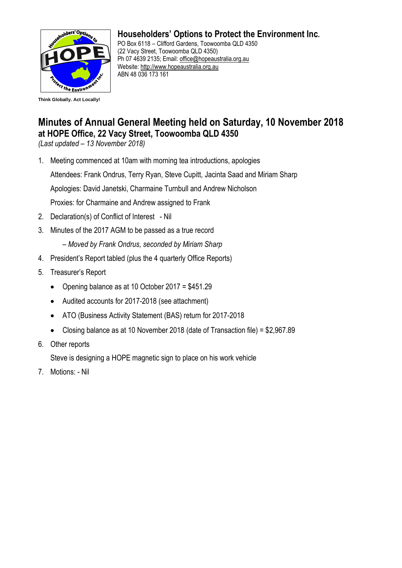

## **Householders' Options to Protect the Environment Inc.**

PO Box 6118 – Clifford Gardens, Toowoomba QLD 4350 (22 Vacy Street, Toowoomba QLD 4350) Ph 07 4639 2135; Email: [office@hopeaustralia.org.au](mailto:office@hopeaustralia.org.au)  Website: [http://www.hopeaustralia.org.au](http://www.hopeaustralia.org.au/) ABN 48 036 173 161

## **Minutes of Annual General Meeting held on Saturday, 10 November 2018 at HOPE Office, 22 Vacy Street, Toowoomba QLD 4350**

*(Last updated – 13 November 2018)*

1. Meeting commenced at 10am with morning tea introductions, apologies

Attendees: Frank Ondrus, Terry Ryan, Steve Cupitt, Jacinta Saad and Miriam Sharp

Apologies: David Janetski, Charmaine Turnbull and Andrew Nicholson

Proxies: for Charmaine and Andrew assigned to Frank

- 2. Declaration(s) of Conflict of Interest Nil
- 3. Minutes of the 2017 AGM to be passed as a true record

– *Moved by Frank Ondrus, seconded by Miriam Sharp*

- 4. President's Report tabled (plus the 4 quarterly Office Reports)
- 5. Treasurer's Report
	- Opening balance as at 10 October 2017 = \$451.29
	- Audited accounts for 2017-2018 (see attachment)
	- ATO (Business Activity Statement (BAS) return for 2017-2018
	- Closing balance as at 10 November 2018 (date of Transaction file) = \$2,967.89
- 6. Other reports

Steve is designing a HOPE magnetic sign to place on his work vehicle

7. Motions: - Nil